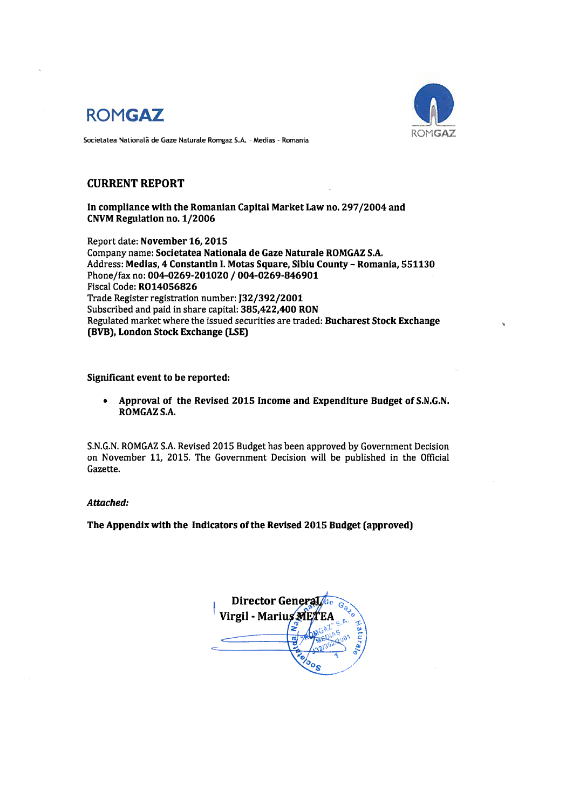



Societatea Natională de Gaze Naturale Romgaz S.A. - Medias - Romania

## **CURRENT REPORT**

In compliance with the Romanian Capital Market Law no. 297/2004 and CNVM Regulation no. 1/2006

Report date: November 16, 2015 Company name: Societatea Nationala de Gaze Naturale ROMGAZ S.A. Address: Medias, 4 Constantin I. Motas Square, Sibiu County - Romania, 551130 Phone/fax no: 004-0269-201020 / 004-0269-846901 Fiscal Code: R014056826 Trade Register registration number: J32/392/2001 Subscribed and paid in share capital: 385,422,400 RON Regulated market where the issued securities are traded: Bucharest Stock Exchange (BVB), London Stock Exchange (LSE)

## Significant event to be reported:

Approval of the Revised 2015 Income and Expenditure Budget of S.N.G.N.  $\bullet$ ROMGAZ S.A.

S.N.G.N. ROMGAZ S.A. Revised 2015 Budget has been approved by Government Decision on November 11, 2015. The Government Decision will be published in the Official Gazette.

## Attached:

The Appendix with the Indicators of the Revised 2015 Budget (approved)

Director General Virgil - Marius ME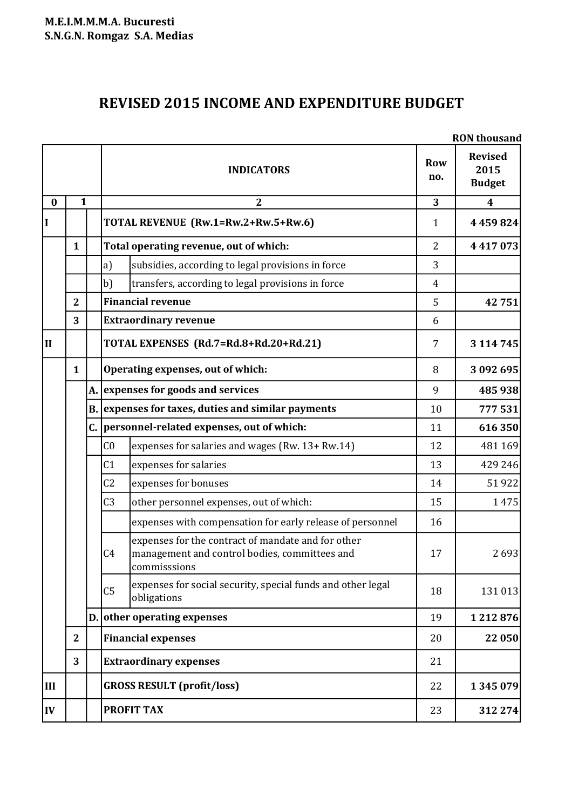## **REVISED 2015 INCOME AND EXPENDITURE BUDGET**

|          |                | <b>RON</b> thousand                                                                                                                   |                   |                                         |  |  |
|----------|----------------|---------------------------------------------------------------------------------------------------------------------------------------|-------------------|-----------------------------------------|--|--|
|          |                | <b>INDICATORS</b>                                                                                                                     | <b>Row</b><br>no. | <b>Revised</b><br>2015<br><b>Budget</b> |  |  |
| $\bf{0}$ | $\mathbf{1}$   | $\boldsymbol{2}$                                                                                                                      | 3                 | $\overline{\mathbf{4}}$                 |  |  |
| I        |                | TOTAL REVENUE (Rw.1=Rw.2+Rw.5+Rw.6)                                                                                                   | $\mathbf{1}$      | 4459824                                 |  |  |
|          | $\mathbf{1}$   | Total operating revenue, out of which:                                                                                                | $\overline{2}$    | 4417073                                 |  |  |
|          |                | subsidies, according to legal provisions in force<br>a)                                                                               | 3                 |                                         |  |  |
|          |                | b)<br>transfers, according to legal provisions in force                                                                               | 4                 |                                         |  |  |
|          | $\overline{2}$ | <b>Financial revenue</b>                                                                                                              | 5                 | 42751                                   |  |  |
|          | 3              | <b>Extraordinary revenue</b>                                                                                                          | 6                 |                                         |  |  |
| IІ       |                | TOTAL EXPENSES (Rd.7=Rd.8+Rd.20+Rd.21)                                                                                                | 7                 | 3 114 745                               |  |  |
|          | $\mathbf{1}$   | Operating expenses, out of which:                                                                                                     | 8                 | 3 092 695                               |  |  |
|          |                | A. expenses for goods and services                                                                                                    | 9                 | 485 938                                 |  |  |
|          |                | B. expenses for taxes, duties and similar payments                                                                                    | 10                | 777531                                  |  |  |
|          |                | C. personnel-related expenses, out of which:                                                                                          | 11                | 616350                                  |  |  |
|          |                | C <sub>0</sub><br>expenses for salaries and wages (Rw. 13+ Rw.14)                                                                     | 12                | 481 169                                 |  |  |
|          |                | expenses for salaries<br>C <sub>1</sub>                                                                                               | 13                | 429 246                                 |  |  |
|          |                | expenses for bonuses<br>C <sub>2</sub>                                                                                                | 14                | 51922                                   |  |  |
|          |                | C <sub>3</sub><br>other personnel expenses, out of which:                                                                             | 15                | 1475                                    |  |  |
|          |                | expenses with compensation for early release of personnel                                                                             | 16                |                                         |  |  |
|          |                | expenses for the contract of mandate and for other<br>C <sub>4</sub><br>management and control bodies, committees and<br>commisssions | 17                | 2693                                    |  |  |
|          |                | expenses for social security, special funds and other legal<br>C <sub>5</sub><br>obligations                                          | 18                | 131 013                                 |  |  |
|          |                | D. other operating expenses                                                                                                           | 19                | 1212876                                 |  |  |
|          | $\mathbf{2}$   | <b>Financial expenses</b>                                                                                                             | 20                | 22 050                                  |  |  |
|          | 3              | <b>Extraordinary expenses</b>                                                                                                         | 21                |                                         |  |  |
| III      |                | <b>GROSS RESULT (profit/loss)</b>                                                                                                     | 22                | 1345079                                 |  |  |
| IV       |                | <b>PROFIT TAX</b>                                                                                                                     | 23                | 312 274                                 |  |  |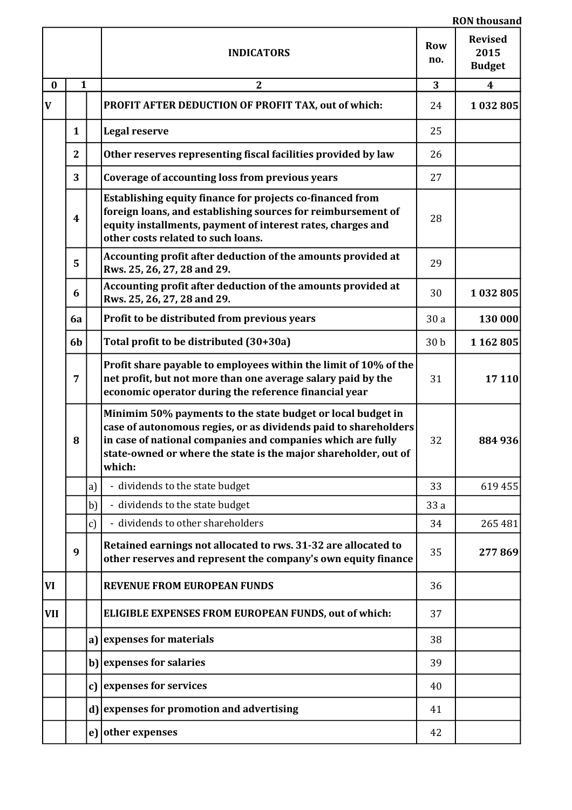|              |                  |              | <b>RON</b> thousand                                                                                                                                                                                                                                                        |                 |                                         |  |  |
|--------------|------------------|--------------|----------------------------------------------------------------------------------------------------------------------------------------------------------------------------------------------------------------------------------------------------------------------------|-----------------|-----------------------------------------|--|--|
|              |                  |              | <b>INDICATORS</b>                                                                                                                                                                                                                                                          | Row<br>no.      | <b>Revised</b><br>2015<br><b>Budget</b> |  |  |
| $\bf{0}$     | 1                |              | $\boldsymbol{2}$                                                                                                                                                                                                                                                           | 3               | $\boldsymbol{4}$                        |  |  |
| $\mathbf{V}$ |                  |              | PROFIT AFTER DEDUCTION OF PROFIT TAX, out of which:                                                                                                                                                                                                                        | 24              | 1032805                                 |  |  |
|              | $\mathbf{1}$     |              | <b>Legal reserve</b>                                                                                                                                                                                                                                                       | 25              |                                         |  |  |
|              | $\mathbf{2}$     |              | Other reserves representing fiscal facilities provided by law                                                                                                                                                                                                              | 26              |                                         |  |  |
|              | 3                |              | Coverage of accounting loss from previous years                                                                                                                                                                                                                            | 27              |                                         |  |  |
|              | $\boldsymbol{4}$ |              | Establishing equity finance for projects co-financed from<br>foreign loans, and establishing sources for reimbursement of<br>equity installments, payment of interest rates, charges and<br>other costs related to such loans.                                             | 28              |                                         |  |  |
|              | 5                |              | Accounting profit after deduction of the amounts provided at<br>Rws. 25, 26, 27, 28 and 29.                                                                                                                                                                                | 29              |                                         |  |  |
|              | 6                |              | Accounting profit after deduction of the amounts provided at<br>Rws. 25, 26, 27, 28 and 29.                                                                                                                                                                                | 30              | 1032805                                 |  |  |
|              | 6a               |              | Profit to be distributed from previous years                                                                                                                                                                                                                               | 30a             | 130 000                                 |  |  |
|              | 6b               |              | Total profit to be distributed (30+30a)                                                                                                                                                                                                                                    | 30 <sub>b</sub> | 1 162 805                               |  |  |
|              | 7                |              | Profit share payable to employees within the limit of 10% of the<br>net profit, but not more than one average salary paid by the<br>economic operator during the reference financial year                                                                                  | 31              | 17110                                   |  |  |
|              | 8                |              | Minimim 50% payments to the state budget or local budget in<br>case of autonomous regies, or as dividends paid to shareholders<br>in case of national companies and companies which are fully<br>state-owned or where the state is the major shareholder, out of<br>which: | 32              | 884 936                                 |  |  |
|              |                  | a)           | - dividends to the state budget                                                                                                                                                                                                                                            | 33              | 619 455                                 |  |  |
|              |                  | b)           | - dividends to the state budget                                                                                                                                                                                                                                            | 33 a            |                                         |  |  |
|              |                  | $\mathbf{c}$ | - dividends to other shareholders                                                                                                                                                                                                                                          | 34              | 265 481                                 |  |  |
|              | 9                |              | Retained earnings not allocated to rws. 31-32 are allocated to<br>other reserves and represent the company's own equity finance                                                                                                                                            | 35              | 277869                                  |  |  |
| <b>VI</b>    |                  |              | <b>REVENUE FROM EUROPEAN FUNDS</b>                                                                                                                                                                                                                                         | 36              |                                         |  |  |
| <b>VII</b>   |                  |              | ELIGIBLE EXPENSES FROM EUROPEAN FUNDS, out of which:                                                                                                                                                                                                                       | 37              |                                         |  |  |
|              |                  | a)           | expenses for materials                                                                                                                                                                                                                                                     | 38              |                                         |  |  |
|              |                  |              | b) expenses for salaries                                                                                                                                                                                                                                                   | 39              |                                         |  |  |
|              |                  |              | c) expenses for services                                                                                                                                                                                                                                                   | 40              |                                         |  |  |
|              |                  |              | d) expenses for promotion and advertising                                                                                                                                                                                                                                  | 41              |                                         |  |  |
|              |                  |              | e) other expenses                                                                                                                                                                                                                                                          | 42              |                                         |  |  |